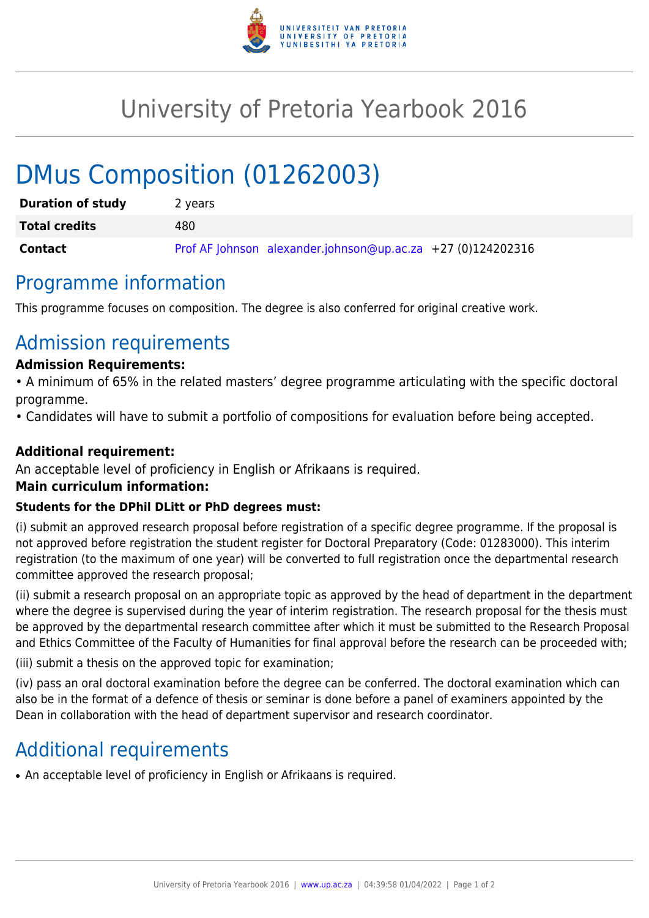

# University of Pretoria Yearbook 2016

# DMus Composition (01262003)

| <b>Duration of study</b> | 2 years                                                       |
|--------------------------|---------------------------------------------------------------|
| <b>Total credits</b>     | 480                                                           |
| Contact                  | Prof AF Johnson alexander.johnson@up.ac.za $+27$ (0)124202316 |

## Programme information

This programme focuses on composition. The degree is also conferred for original creative work.

# Admission requirements

#### **Admission Requirements:**

• A minimum of 65% in the related masters' degree programme articulating with the specific doctoral programme.

• Candidates will have to submit a portfolio of compositions for evaluation before being accepted.

### **Additional requirement:**

An acceptable level of proficiency in English or Afrikaans is required.

### **Main curriculum information:**

#### **Students for the DPhil DLitt or PhD degrees must:**

(i) submit an approved research proposal before registration of a specific degree programme. If the proposal is not approved before registration the student register for Doctoral Preparatory (Code: 01283000). This interim registration (to the maximum of one year) will be converted to full registration once the departmental research committee approved the research proposal;

(ii) submit a research proposal on an appropriate topic as approved by the head of department in the department where the degree is supervised during the year of interim registration. The research proposal for the thesis must be approved by the departmental research committee after which it must be submitted to the Research Proposal and Ethics Committee of the Faculty of Humanities for final approval before the research can be proceeded with;

(iii) submit a thesis on the approved topic for examination;

(iv) pass an oral doctoral examination before the degree can be conferred. The doctoral examination which can also be in the format of a defence of thesis or seminar is done before a panel of examiners appointed by the Dean in collaboration with the head of department supervisor and research coordinator.

## Additional requirements

• An acceptable level of proficiency in English or Afrikaans is required.